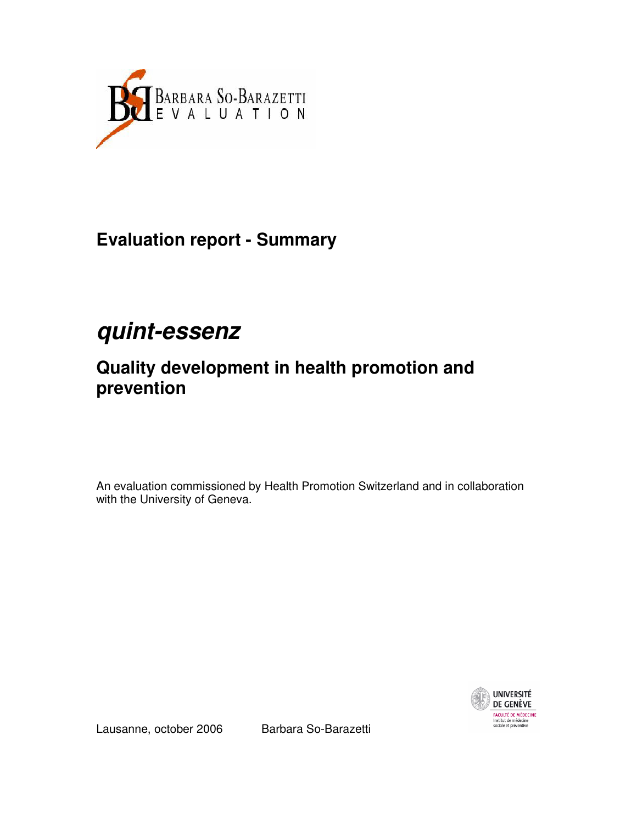

**Evaluation report - Summary** 

# **quint-essenz**

## **Quality development in health promotion and prevention**

An evaluation commissioned by Health Promotion Switzerland and in collaboration with the University of Geneva.



Lausanne, october 2006 Barbara So-Barazetti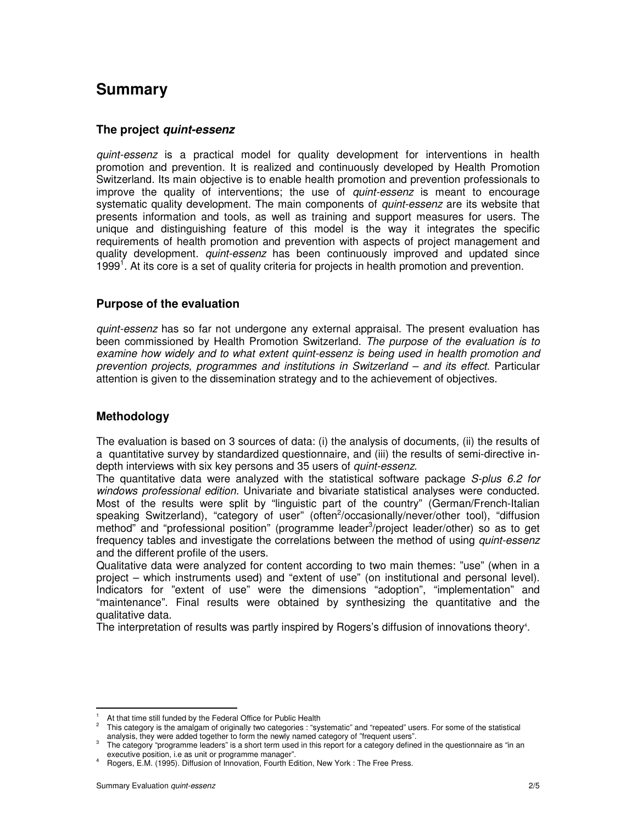### **Summary**

#### **The project quint-essenz**

quint-essenz is a practical model for quality development for interventions in health promotion and prevention. It is realized and continuously developed by Health Promotion Switzerland. Its main objective is to enable health promotion and prevention professionals to improve the quality of interventions; the use of quint-essenz is meant to encourage systematic quality development. The main components of *quint-essenz* are its website that presents information and tools, as well as training and support measures for users. The unique and distinguishing feature of this model is the way it integrates the specific requirements of health promotion and prevention with aspects of project management and quality development. *quint-essenz* has been continuously improved and updated since 1999<sup>1</sup>. At its core is a set of quality criteria for projects in health promotion and prevention.

#### **Purpose of the evaluation**

quint-essenz has so far not undergone any external appraisal. The present evaluation has been commissioned by Health Promotion Switzerland. The purpose of the evaluation is to examine how widely and to what extent quint-essenz is being used in health promotion and prevention projects, programmes and institutions in Switzerland – and its effect. Particular attention is given to the dissemination strategy and to the achievement of objectives.

#### **Methodology**

The evaluation is based on 3 sources of data: (i) the analysis of documents, (ii) the results of a quantitative survey by standardized questionnaire, and (iii) the results of semi-directive indepth interviews with six key persons and 35 users of quint-essenz.

The quantitative data were analyzed with the statistical software package S-plus 6.2 for windows professional edition. Univariate and bivariate statistical analyses were conducted. Most of the results were split by "linguistic part of the country" (German/French-Italian speaking Switzerland), "category of user" (often<sup>2</sup>/occasionally/never/other tool), "diffusion method" and "professional position" (programme leader<sup>3</sup>/project leader/other) so as to get frequency tables and investigate the correlations between the method of using quint-essenz and the different profile of the users.

Qualitative data were analyzed for content according to two main themes: "use" (when in a project – which instruments used) and "extent of use" (on institutional and personal level). Indicators for "extent of use" were the dimensions "adoption", "implementation" and "maintenance". Final results were obtained by synthesizing the quantitative and the qualitative data.

The interpretation of results was partly inspired by Rogers's diffusion of innovations theory<sup>4</sup>.

l

<sup>1</sup> At that time still funded by the Federal Office for Public Health

<sup>2</sup> This category is the amalgam of originally two categories : "systematic" and "repeated" users. For some of the statistical analysis, they were added together to form the newly named category of "frequent users".

 $3$  The category "programme leaders" is a short term used in this report for a category defined in the questionnaire as "in an executive position, i.e as unit or programme manager".

<sup>4</sup> Rogers, E.M. (1995). Diffusion of Innovation, Fourth Edition, New York : The Free Press.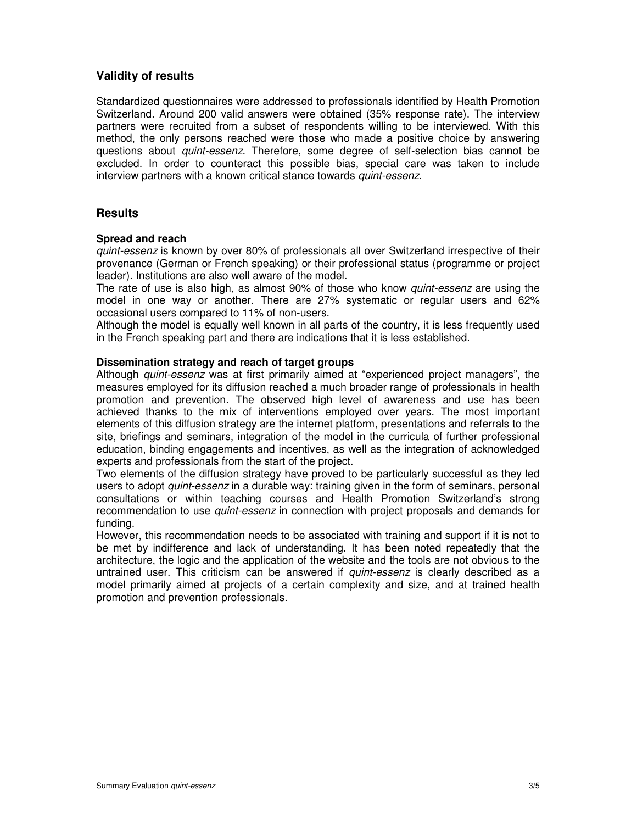#### **Validity of results**

Standardized questionnaires were addressed to professionals identified by Health Promotion Switzerland. Around 200 valid answers were obtained (35% response rate). The interview partners were recruited from a subset of respondents willing to be interviewed. With this method, the only persons reached were those who made a positive choice by answering questions about quint-essenz. Therefore, some degree of self-selection bias cannot be excluded. In order to counteract this possible bias, special care was taken to include interview partners with a known critical stance towards quint-essenz.

#### **Results**

#### **Spread and reach**

quint-essenz is known by over 80% of professionals all over Switzerland irrespective of their provenance (German or French speaking) or their professional status (programme or project leader). Institutions are also well aware of the model.

The rate of use is also high, as almost 90% of those who know *quint-essenz* are using the model in one way or another. There are 27% systematic or regular users and 62% occasional users compared to 11% of non-users.

Although the model is equally well known in all parts of the country, it is less frequently used in the French speaking part and there are indications that it is less established.

#### **Dissemination strategy and reach of target groups**

Although quint-essenz was at first primarily aimed at "experienced project managers", the measures employed for its diffusion reached a much broader range of professionals in health promotion and prevention. The observed high level of awareness and use has been achieved thanks to the mix of interventions employed over years. The most important elements of this diffusion strategy are the internet platform, presentations and referrals to the site, briefings and seminars, integration of the model in the curricula of further professional education, binding engagements and incentives, as well as the integration of acknowledged experts and professionals from the start of the project.

Two elements of the diffusion strategy have proved to be particularly successful as they led users to adopt *quint-essenz* in a durable way: training given in the form of seminars, personal consultations or within teaching courses and Health Promotion Switzerland's strong recommendation to use *quint-essenz* in connection with project proposals and demands for funding.

However, this recommendation needs to be associated with training and support if it is not to be met by indifference and lack of understanding. It has been noted repeatedly that the architecture, the logic and the application of the website and the tools are not obvious to the untrained user. This criticism can be answered if *quint-essenz* is clearly described as a model primarily aimed at projects of a certain complexity and size, and at trained health promotion and prevention professionals.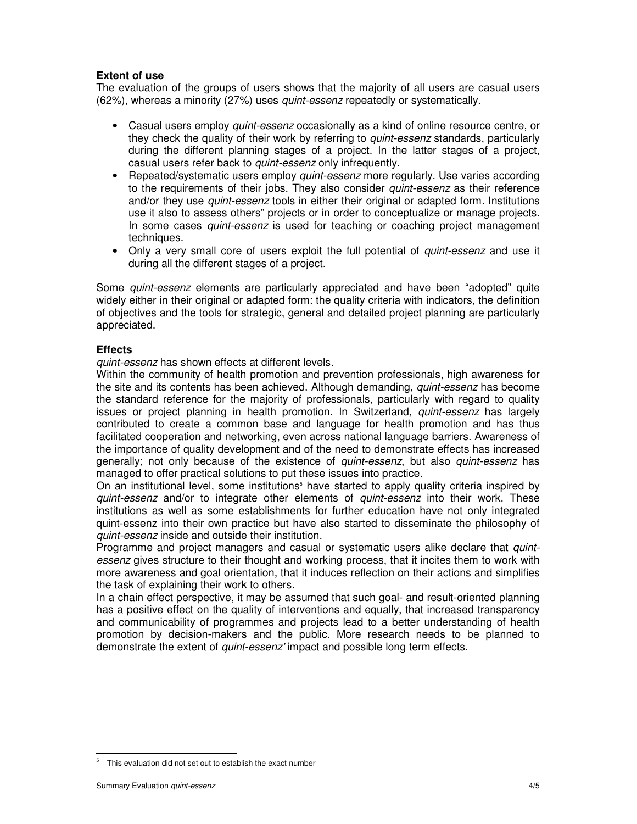#### **Extent of use**

The evaluation of the groups of users shows that the majority of all users are casual users (62%), whereas a minority (27%) uses quint-essenz repeatedly or systematically.

- Casual users employ *quint-essenz* occasionally as a kind of online resource centre, or they check the quality of their work by referring to *quint-essenz* standards, particularly during the different planning stages of a project. In the latter stages of a project, casual users refer back to quint-essenz only infrequently.
- Repeated/systematic users employ *quint-essenz* more regularly. Use varies according to the requirements of their jobs. They also consider quint-essenz as their reference and/or they use *quint-essenz* tools in either their original or adapted form. Institutions use it also to assess others" projects or in order to conceptualize or manage projects. In some cases *quint-essenz* is used for teaching or coaching project management techniques.
- Only a very small core of users exploit the full potential of *quint-essenz* and use it during all the different stages of a project.

Some *quint-essenz* elements are particularly appreciated and have been "adopted" quite widely either in their original or adapted form: the quality criteria with indicators, the definition of objectives and the tools for strategic, general and detailed project planning are particularly appreciated.

#### **Effects**

quint-essenz has shown effects at different levels.

Within the community of health promotion and prevention professionals, high awareness for the site and its contents has been achieved. Although demanding, *quint-essenz* has become the standard reference for the majority of professionals, particularly with regard to quality issues or project planning in health promotion. In Switzerland, *quint-essenz* has largely contributed to create a common base and language for health promotion and has thus facilitated cooperation and networking, even across national language barriers. Awareness of the importance of quality development and of the need to demonstrate effects has increased generally; not only because of the existence of quint-essenz, but also quint-essenz has managed to offer practical solutions to put these issues into practice.

On an institutional level, some institutions<sup>5</sup> have started to apply quality criteria inspired by quint-essenz and/or to integrate other elements of quint-essenz into their work. These institutions as well as some establishments for further education have not only integrated quint-essenz into their own practice but have also started to disseminate the philosophy of quint-essenz inside and outside their institution.

Programme and project managers and casual or systematic users alike declare that *quint*essenz gives structure to their thought and working process, that it incites them to work with more awareness and goal orientation, that it induces reflection on their actions and simplifies the task of explaining their work to others.

In a chain effect perspective, it may be assumed that such goal- and result-oriented planning has a positive effect on the quality of interventions and equally, that increased transparency and communicability of programmes and projects lead to a better understanding of health promotion by decision-makers and the public. More research needs to be planned to demonstrate the extent of quint-essenz' impact and possible long term effects.

l

 $5$  This evaluation did not set out to establish the exact number